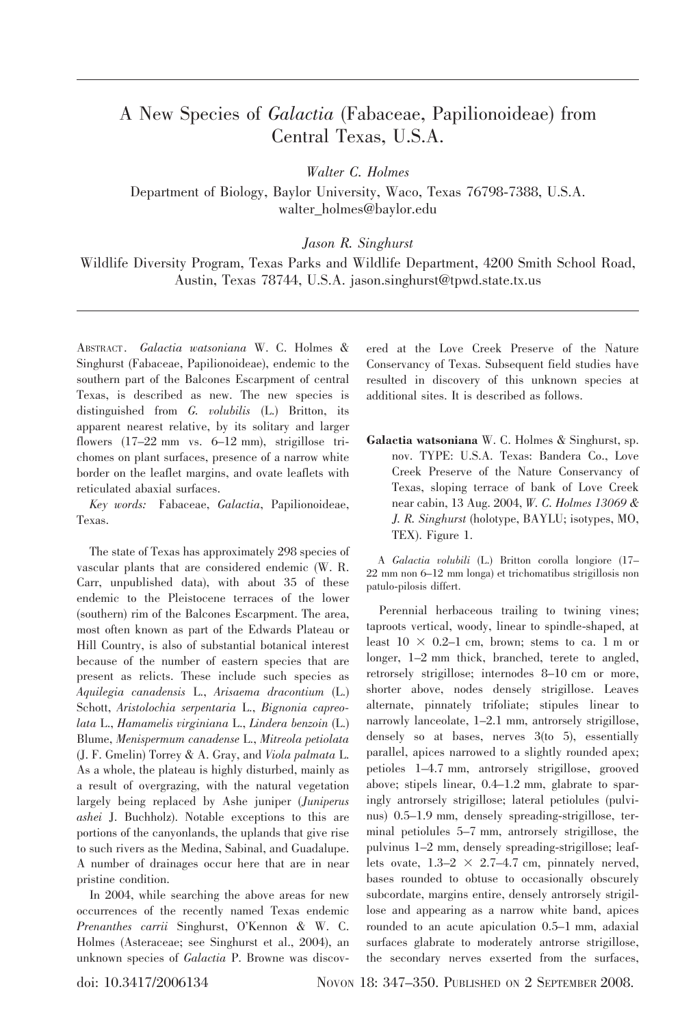## A New Species of Galactia (Fabaceae, Papilionoideae) from Central Texas, U.S.A.

Walter C. Holmes

Department of Biology, Baylor University, Waco, Texas 76798-7388, U.S.A. walter\_holmes@baylor.edu

Jason R. Singhurst

Wildlife Diversity Program, Texas Parks and Wildlife Department, 4200 Smith School Road, Austin, Texas 78744, U.S.A. jason.singhurst@tpwd.state.tx.us

ABSTRACT. Galactia watsoniana W. C. Holmes & Singhurst (Fabaceae, Papilionoideae), endemic to the southern part of the Balcones Escarpment of central Texas, is described as new. The new species is distinguished from G. volubilis (L.) Britton, its apparent nearest relative, by its solitary and larger flowers (17–22 mm vs. 6–12 mm), strigillose trichomes on plant surfaces, presence of a narrow white border on the leaflet margins, and ovate leaflets with reticulated abaxial surfaces.

Key words: Fabaceae, Galactia, Papilionoideae, Texas.

The state of Texas has approximately 298 species of vascular plants that are considered endemic (W. R. Carr, unpublished data), with about 35 of these endemic to the Pleistocene terraces of the lower (southern) rim of the Balcones Escarpment. The area, most often known as part of the Edwards Plateau or Hill Country, is also of substantial botanical interest because of the number of eastern species that are present as relicts. These include such species as Aquilegia canadensis L., Arisaema dracontium (L.) Schott, Aristolochia serpentaria L., Bignonia capreolata L., Hamamelis virginiana L., Lindera benzoin (L.) Blume, Menispermum canadense L., Mitreola petiolata (J. F. Gmelin) Torrey & A. Gray, and Viola palmata L. As a whole, the plateau is highly disturbed, mainly as a result of overgrazing, with the natural vegetation largely being replaced by Ashe juniper (Juniperus ashei J. Buchholz). Notable exceptions to this are portions of the canyonlands, the uplands that give rise to such rivers as the Medina, Sabinal, and Guadalupe. A number of drainages occur here that are in near pristine condition.

In 2004, while searching the above areas for new occurrences of the recently named Texas endemic Prenanthes carrii Singhurst, O'Kennon & W. C. Holmes (Asteraceae; see Singhurst et al., 2004), an unknown species of Galactia P. Browne was discovered at the Love Creek Preserve of the Nature Conservancy of Texas. Subsequent field studies have resulted in discovery of this unknown species at additional sites. It is described as follows.

Galactia watsoniana W. C. Holmes & Singhurst, sp. nov. TYPE: U.S.A. Texas: Bandera Co., Love Creek Preserve of the Nature Conservancy of Texas, sloping terrace of bank of Love Creek near cabin, 13 Aug. 2004, W. C. Holmes 13069 & J. R. Singhurst (holotype, BAYLU; isotypes, MO, TEX). Figure 1.

A Galactia volubili (L.) Britton corolla longiore (17– 22 mm non 6–12 mm longa) et trichomatibus strigillosis non patulo-pilosis differt.

Perennial herbaceous trailing to twining vines; taproots vertical, woody, linear to spindle-shaped, at least  $10 \times 0.2$ –1 cm, brown; stems to ca. 1 m or longer, 1–2 mm thick, branched, terete to angled, retrorsely strigillose; internodes 8–10 cm or more, shorter above, nodes densely strigillose. Leaves alternate, pinnately trifoliate; stipules linear to narrowly lanceolate, 1–2.1 mm, antrorsely strigillose, densely so at bases, nerves 3(to 5), essentially parallel, apices narrowed to a slightly rounded apex; petioles 1–4.7 mm, antrorsely strigillose, grooved above; stipels linear, 0.4–1.2 mm, glabrate to sparingly antrorsely strigillose; lateral petiolules (pulvinus) 0.5–1.9 mm, densely spreading-strigillose, terminal petiolules 5–7 mm, antrorsely strigillose, the pulvinus 1–2 mm, densely spreading-strigillose; leaflets ovate,  $1.3-2 \times 2.7-4.7$  cm, pinnately nerved, bases rounded to obtuse to occasionally obscurely subcordate, margins entire, densely antrorsely strigillose and appearing as a narrow white band, apices rounded to an acute apiculation 0.5–1 mm, adaxial surfaces glabrate to moderately antrorse strigillose, the secondary nerves exserted from the surfaces,

doi: 10.3417/2006134 Novon 18: 347–350. PUBLISHED ON 2 SEPTEMBER 2008.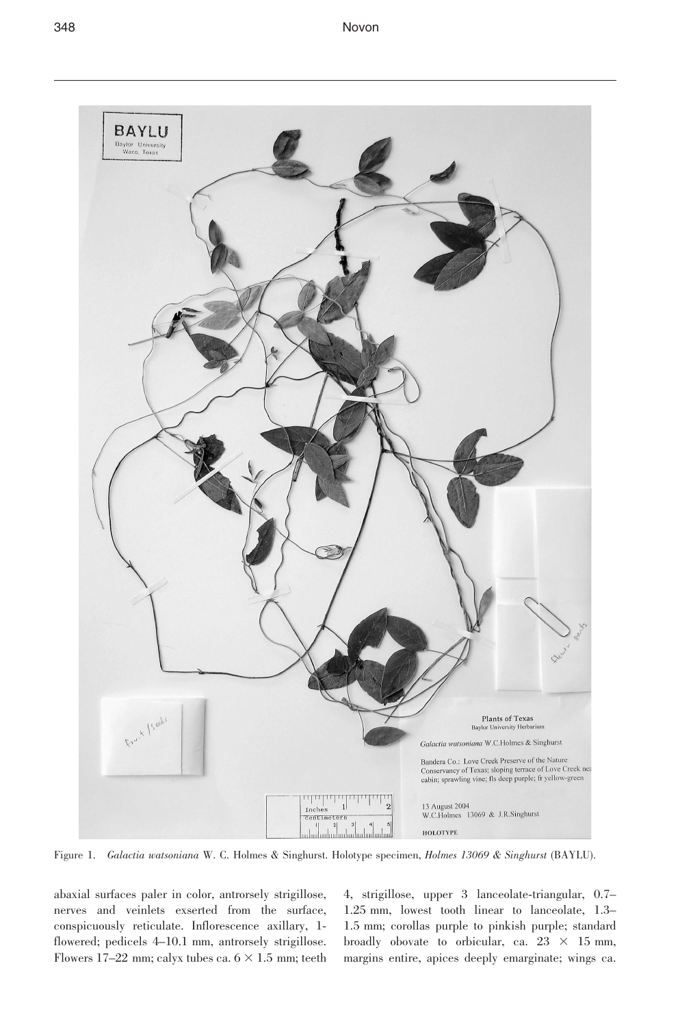

Figure 1. Galactia watsoniana W. C. Holmes & Singhurst. Holotype specimen, Holmes 13069 & Singhurst (BAYLU).

abaxial surfaces paler in color, antrorsely strigillose, nerves and veinlets exserted from the surface, conspicuously reticulate. Inflorescence axillary, 1 flowered; pedicels 4–10.1 mm, antrorsely strigillose. Flowers 17-22 mm; calyx tubes ca.  $6 \times 1.5$  mm; teeth 4, strigillose, upper 3 lanceolate-triangular, 0.7– 1.25 mm, lowest tooth linear to lanceolate, 1.3– 1.5 mm; corollas purple to pinkish purple; standard broadly obovate to orbicular, ca.  $23 \times 15$  mm, margins entire, apices deeply emarginate; wings ca.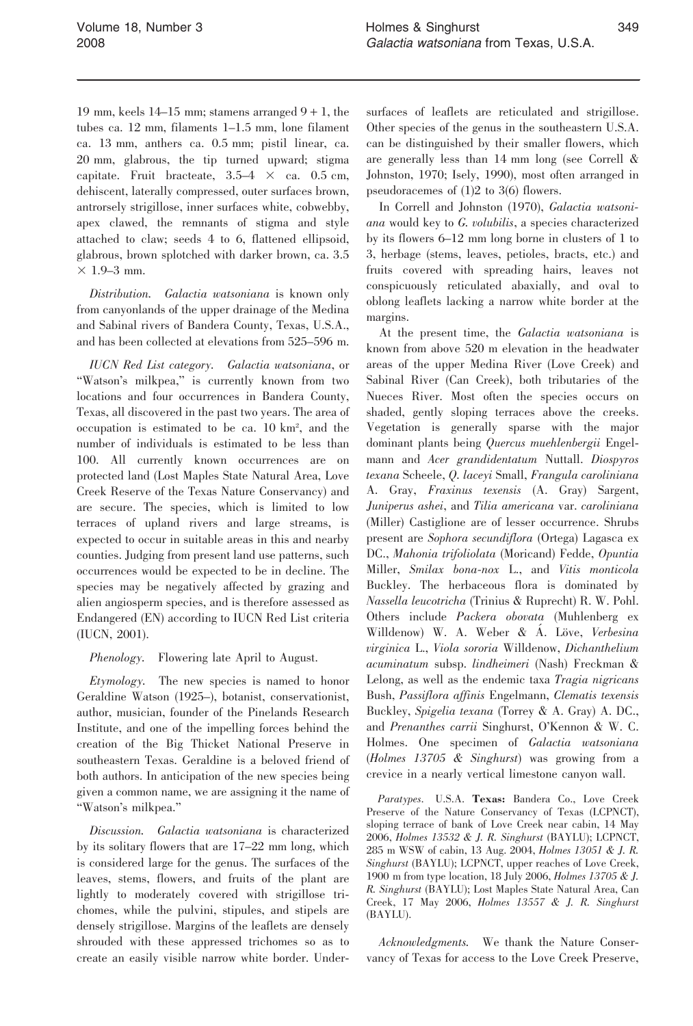19 mm, keels  $14-15$  mm; stamens arranged  $9+1$ , the tubes ca. 12 mm, filaments 1–1.5 mm, lone filament ca. 13 mm, anthers ca. 0.5 mm; pistil linear, ca. 20 mm, glabrous, the tip turned upward; stigma capitate. Fruit bracteate,  $3.5-4 \times$  ca. 0.5 cm, dehiscent, laterally compressed, outer surfaces brown, antrorsely strigillose, inner surfaces white, cobwebby, apex clawed, the remnants of stigma and style attached to claw; seeds 4 to 6, flattened ellipsoid, glabrous, brown splotched with darker brown, ca. 3.5  $\times$  1.9–3 mm.

Distribution. Galactia watsoniana is known only from canyonlands of the upper drainage of the Medina and Sabinal rivers of Bandera County, Texas, U.S.A., and has been collected at elevations from 525–596 m.

IUCN Red List category. Galactia watsoniana, or "Watson's milkpea," is currently known from two locations and four occurrences in Bandera County, Texas, all discovered in the past two years. The area of occupation is estimated to be ca. 10 km2 , and the number of individuals is estimated to be less than 100. All currently known occurrences are on protected land (Lost Maples State Natural Area, Love Creek Reserve of the Texas Nature Conservancy) and are secure. The species, which is limited to low terraces of upland rivers and large streams, is expected to occur in suitable areas in this and nearby counties. Judging from present land use patterns, such occurrences would be expected to be in decline. The species may be negatively affected by grazing and alien angiosperm species, and is therefore assessed as Endangered (EN) according to IUCN Red List criteria (IUCN, 2001).

Phenology. Flowering late April to August.

Etymology. The new species is named to honor Geraldine Watson (1925–), botanist, conservationist, author, musician, founder of the Pinelands Research Institute, and one of the impelling forces behind the creation of the Big Thicket National Preserve in southeastern Texas. Geraldine is a beloved friend of both authors. In anticipation of the new species being given a common name, we are assigning it the name of ''Watson's milkpea.''

Discussion. Galactia watsoniana is characterized by its solitary flowers that are 17–22 mm long, which is considered large for the genus. The surfaces of the leaves, stems, flowers, and fruits of the plant are lightly to moderately covered with strigillose trichomes, while the pulvini, stipules, and stipels are densely strigillose. Margins of the leaflets are densely shrouded with these appressed trichomes so as to create an easily visible narrow white border. Under-

surfaces of leaflets are reticulated and strigillose. Other species of the genus in the southeastern U.S.A. can be distinguished by their smaller flowers, which are generally less than 14 mm long (see Correll & Johnston, 1970; Isely, 1990), most often arranged in pseudoracemes of (1)2 to 3(6) flowers.

In Correll and Johnston (1970), Galactia watsoniana would key to G. volubilis, a species characterized by its flowers 6–12 mm long borne in clusters of 1 to 3, herbage (stems, leaves, petioles, bracts, etc.) and fruits covered with spreading hairs, leaves not conspicuously reticulated abaxially, and oval to oblong leaflets lacking a narrow white border at the margins.

At the present time, the Galactia watsoniana is known from above 520 m elevation in the headwater areas of the upper Medina River (Love Creek) and Sabinal River (Can Creek), both tributaries of the Nueces River. Most often the species occurs on shaded, gently sloping terraces above the creeks. Vegetation is generally sparse with the major dominant plants being Quercus muehlenbergii Engelmann and Acer grandidentatum Nuttall. Diospyros texana Scheele, Q. laceyi Small, Frangula caroliniana A. Gray, Fraxinus texensis (A. Gray) Sargent, Juniperus ashei, and Tilia americana var. caroliniana (Miller) Castiglione are of lesser occurrence. Shrubs present are Sophora secundiflora (Ortega) Lagasca ex DC., Mahonia trifoliolata (Moricand) Fedde, Opuntia Miller, Smilax bona-nox L., and Vitis monticola Buckley. The herbaceous flora is dominated by Nassella leucotricha (Trinius & Ruprecht) R. W. Pohl. Others include Packera obovata (Muhlenberg ex Willdenow) W. A. Weber & A. Löve, Verbesina virginica L., Viola sororia Willdenow, Dichanthelium acuminatum subsp. lindheimeri (Nash) Freckman & Lelong, as well as the endemic taxa Tragia nigricans Bush, Passiflora affinis Engelmann, Clematis texensis Buckley, Spigelia texana (Torrey & A. Gray) A. DC., and Prenanthes carrii Singhurst, O'Kennon & W. C. Holmes. One specimen of Galactia watsoniana (Holmes 13705 & Singhurst) was growing from a crevice in a nearly vertical limestone canyon wall.

Paratypes. U.S.A. Texas: Bandera Co., Love Creek Preserve of the Nature Conservancy of Texas (LCPNCT), sloping terrace of bank of Love Creek near cabin, 14 May 2006, Holmes 13532 & J. R. Singhurst (BAYLU); LCPNCT, 285 m WSW of cabin, 13 Aug. 2004, Holmes 13051 & J. R. Singhurst (BAYLU); LCPNCT, upper reaches of Love Creek, 1900 m from type location, 18 July 2006, Holmes 13705 & J. R. Singhurst (BAYLU); Lost Maples State Natural Area, Can Creek, 17 May 2006, Holmes 13557 & J. R. Singhurst (BAYLU).

Acknowledgments. We thank the Nature Conservancy of Texas for access to the Love Creek Preserve,